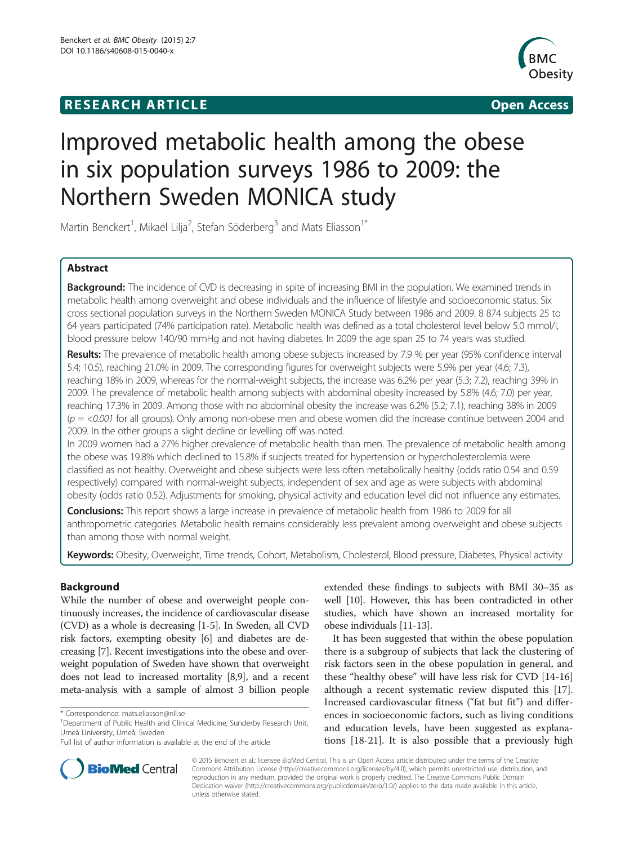# **RESEARCH ARTICLE Example 2008 CONSIDERING CONSIDERING CONSIDERING CONSIDERING CONSIDERING CONSIDERING CONSIDERING CONSIDERING CONSIDERING CONSIDERING CONSIDERING CONSIDERING CONSIDERING CONSIDERING CONSIDERING CONSIDE**



# Improved metabolic health among the obese in six population surveys 1986 to 2009: the Northern Sweden MONICA study

Martin Benckert<sup>1</sup>, Mikael Lilja<sup>2</sup>, Stefan Söderberg<sup>3</sup> and Mats Eliasson<sup>1\*</sup>

# Abstract

Background: The incidence of CVD is decreasing in spite of increasing BMI in the population. We examined trends in metabolic health among overweight and obese individuals and the influence of lifestyle and socioeconomic status. Six cross sectional population surveys in the Northern Sweden MONICA Study between 1986 and 2009. 8 874 subjects 25 to 64 years participated (74% participation rate). Metabolic health was defined as a total cholesterol level below 5.0 mmol/l, blood pressure below 140/90 mmHg and not having diabetes. In 2009 the age span 25 to 74 years was studied.

Results: The prevalence of metabolic health among obese subjects increased by 7.9 % per year (95% confidence interval 5.4; 10.5), reaching 21.0% in 2009. The corresponding figures for overweight subjects were 5.9% per year (4.6; 7.3), reaching 18% in 2009, whereas for the normal-weight subjects, the increase was 6.2% per year (5.3; 7.2), reaching 39% in 2009. The prevalence of metabolic health among subjects with abdominal obesity increased by 5.8% (4.6; 7.0) per year, reaching 17.3% in 2009. Among those with no abdominal obesity the increase was 6.2% (5.2; 7.1), reaching 38% in 2009  $(p = 0.001$  for all groups). Only among non-obese men and obese women did the increase continue between 2004 and 2009. In the other groups a slight decline or levelling off was noted.

In 2009 women had a 27% higher prevalence of metabolic health than men. The prevalence of metabolic health among the obese was 19.8% which declined to 15.8% if subjects treated for hypertension or hypercholesterolemia were classified as not healthy. Overweight and obese subjects were less often metabolically healthy (odds ratio 0.54 and 0.59 respectively) compared with normal-weight subjects, independent of sex and age as were subjects with abdominal obesity (odds ratio 0.52). Adjustments for smoking, physical activity and education level did not influence any estimates.

**Conclusions:** This report shows a large increase in prevalence of metabolic health from 1986 to 2009 for all anthropometric categories. Metabolic health remains considerably less prevalent among overweight and obese subjects than among those with normal weight.

Keywords: Obesity, Overweight, Time trends, Cohort, Metabolism, Cholesterol, Blood pressure, Diabetes, Physical activity

# Background

While the number of obese and overweight people continuously increases, the incidence of cardiovascular disease (CVD) as a whole is decreasing [\[1](#page-5-0)[-5](#page-6-0)]. In Sweden, all CVD risk factors, exempting obesity [[6\]](#page-6-0) and diabetes are decreasing [\[7\]](#page-6-0). Recent investigations into the obese and overweight population of Sweden have shown that overweight does not lead to increased mortality [\[8,9\]](#page-6-0), and a recent meta-analysis with a sample of almost 3 billion people

extended these findings to subjects with BMI 30–35 as well [\[10](#page-6-0)]. However, this has been contradicted in other studies, which have shown an increased mortality for obese individuals [\[11-13](#page-6-0)].

It has been suggested that within the obese population there is a subgroup of subjects that lack the clustering of risk factors seen in the obese population in general, and these "healthy obese" will have less risk for CVD [\[14](#page-6-0)-[16](#page-6-0)] although a recent systematic review disputed this [\[17](#page-6-0)]. Increased cardiovascular fitness ("fat but fit") and differences in socioeconomic factors, such as living conditions and education levels, have been suggested as explanations [[18](#page-6-0)-[21\]](#page-6-0). It is also possible that a previously high



© 2015 Benckert et al.; licensee BioMed Central. This is an Open Access article distributed under the terms of the Creative Commons Attribution License [\(http://creativecommons.org/licenses/by/4.0\)](http://creativecommons.org/licenses/by/4.0), which permits unrestricted use, distribution, and reproduction in any medium, provided the original work is properly credited. The Creative Commons Public Domain Dedication waiver [\(http://creativecommons.org/publicdomain/zero/1.0/](http://creativecommons.org/publicdomain/zero/1.0/)) applies to the data made available in this article, unless otherwise stated.

<sup>\*</sup> Correspondence: [mats.eliasson@nll.se](mailto:mats.eliasson@nll.se) <sup>1</sup>

<sup>&</sup>lt;sup>1</sup>Department of Public Health and Clinical Medicine, Sunderby Research Unit, Umeå University, Umeå, Sweden

Full list of author information is available at the end of the article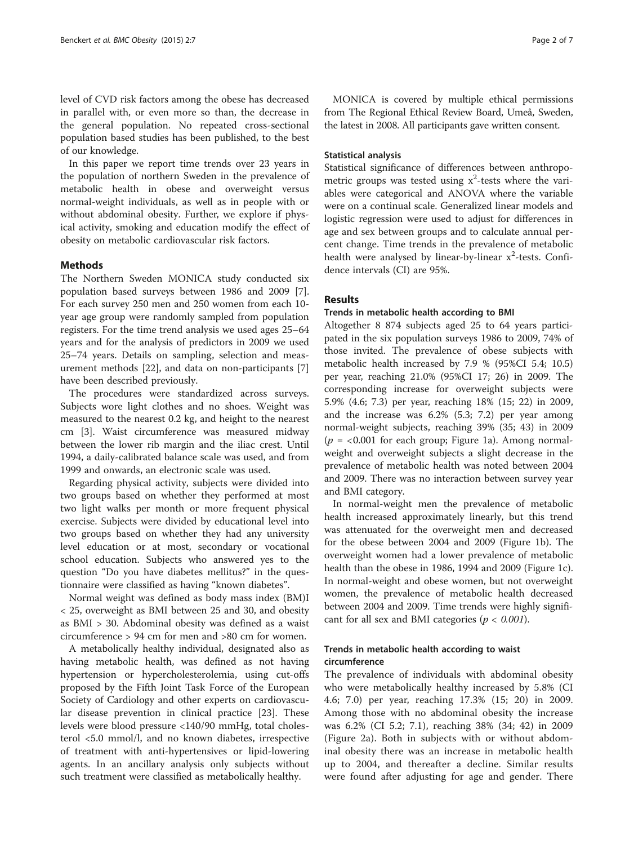level of CVD risk factors among the obese has decreased in parallel with, or even more so than, the decrease in the general population. No repeated cross-sectional population based studies has been published, to the best of our knowledge.

In this paper we report time trends over 23 years in the population of northern Sweden in the prevalence of metabolic health in obese and overweight versus normal-weight individuals, as well as in people with or without abdominal obesity. Further, we explore if physical activity, smoking and education modify the effect of obesity on metabolic cardiovascular risk factors.

## Methods

The Northern Sweden MONICA study conducted six population based surveys between 1986 and 2009 [\[7](#page-6-0)]. For each survey 250 men and 250 women from each 10 year age group were randomly sampled from population registers. For the time trend analysis we used ages 25–64 years and for the analysis of predictors in 2009 we used 25–74 years. Details on sampling, selection and measurement methods [[22](#page-6-0)], and data on non-participants [\[7](#page-6-0)] have been described previously.

The procedures were standardized across surveys. Subjects wore light clothes and no shoes. Weight was measured to the nearest 0.2 kg, and height to the nearest cm [\[3\]](#page-6-0). Waist circumference was measured midway between the lower rib margin and the iliac crest. Until 1994, a daily-calibrated balance scale was used, and from 1999 and onwards, an electronic scale was used.

Regarding physical activity, subjects were divided into two groups based on whether they performed at most two light walks per month or more frequent physical exercise. Subjects were divided by educational level into two groups based on whether they had any university level education or at most, secondary or vocational school education. Subjects who answered yes to the question "Do you have diabetes mellitus?" in the questionnaire were classified as having "known diabetes".

Normal weight was defined as body mass index (BM)I < 25, overweight as BMI between 25 and 30, and obesity as BMI > 30. Abdominal obesity was defined as a waist circumference > 94 cm for men and >80 cm for women.

A metabolically healthy individual, designated also as having metabolic health, was defined as not having hypertension or hypercholesterolemia, using cut-offs proposed by the Fifth Joint Task Force of the European Society of Cardiology and other experts on cardiovascular disease prevention in clinical practice [[23](#page-6-0)]. These levels were blood pressure <140/90 mmHg, total cholesterol <5.0 mmol/l, and no known diabetes, irrespective of treatment with anti-hypertensives or lipid-lowering agents. In an ancillary analysis only subjects without such treatment were classified as metabolically healthy.

MONICA is covered by multiple ethical permissions from The Regional Ethical Review Board, Umeå, Sweden, the latest in 2008. All participants gave written consent.

#### Statistical analysis

Statistical significance of differences between anthropometric groups was tested using  $x^2$ -tests where the variables were categorical and ANOVA where the variable were on a continual scale. Generalized linear models and logistic regression were used to adjust for differences in age and sex between groups and to calculate annual percent change. Time trends in the prevalence of metabolic health were analysed by linear-by-linear  $x^2$ -tests. Confidence intervals (CI) are 95%.

# Results

#### Trends in metabolic health according to BMI

Altogether 8 874 subjects aged 25 to 64 years participated in the six population surveys 1986 to 2009, 74% of those invited. The prevalence of obese subjects with metabolic health increased by 7.9 % (95%CI 5.4; 10.5) per year, reaching 21.0% (95%CI 17; 26) in 2009. The corresponding increase for overweight subjects were 5.9% (4.6; 7.3) per year, reaching 18% (15; 22) in 2009, and the increase was 6.2% (5.3; 7.2) per year among normal-weight subjects, reaching 39% (35; 43) in 2009  $(p = 0.001$  for each group; Figure [1](#page-2-0)a). Among normalweight and overweight subjects a slight decrease in the prevalence of metabolic health was noted between 2004 and 2009. There was no interaction between survey year and BMI category.

In normal-weight men the prevalence of metabolic health increased approximately linearly, but this trend was attenuated for the overweight men and decreased for the obese between 2004 and 2009 (Figure [1b](#page-2-0)). The overweight women had a lower prevalence of metabolic health than the obese in 1986, 1994 and 2009 (Figure [1c](#page-2-0)). In normal-weight and obese women, but not overweight women, the prevalence of metabolic health decreased between 2004 and 2009. Time trends were highly significant for all sex and BMI categories ( $p < 0.001$ ).

# Trends in metabolic health according to waist circumference

The prevalence of individuals with abdominal obesity who were metabolically healthy increased by 5.8% (CI 4.6; 7.0) per year, reaching 17.3% (15; 20) in 2009. Among those with no abdominal obesity the increase was 6.2% (CI 5.2; 7.1), reaching 38% (34; 42) in 2009 (Figure [2a](#page-2-0)). Both in subjects with or without abdominal obesity there was an increase in metabolic health up to 2004, and thereafter a decline. Similar results were found after adjusting for age and gender. There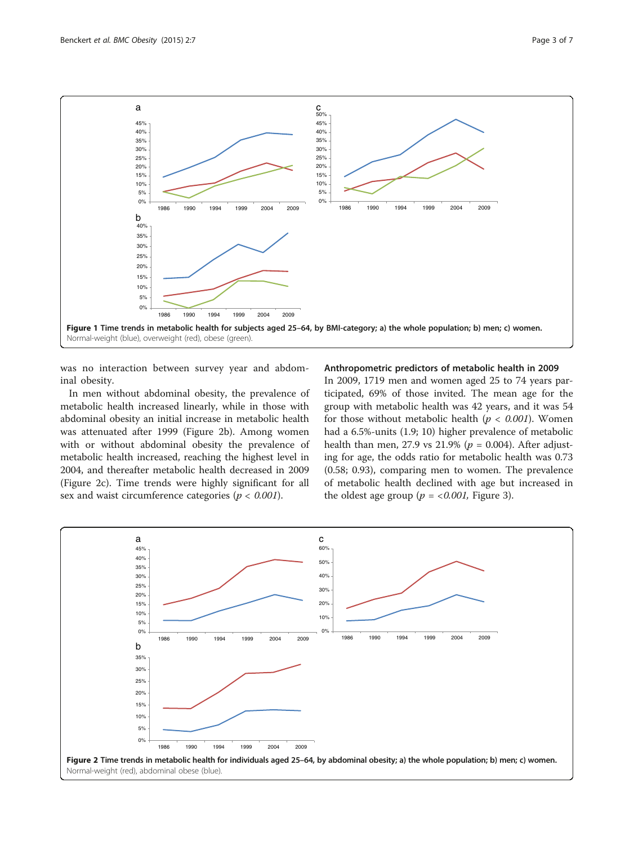<span id="page-2-0"></span>

was no interaction between survey year and abdominal obesity.

In men without abdominal obesity, the prevalence of metabolic health increased linearly, while in those with abdominal obesity an initial increase in metabolic health was attenuated after 1999 (Figure 2b). Among women with or without abdominal obesity the prevalence of metabolic health increased, reaching the highest level in 2004, and thereafter metabolic health decreased in 2009 (Figure 2c). Time trends were highly significant for all sex and waist circumference categories ( $p < 0.001$ ).

#### Anthropometric predictors of metabolic health in 2009

In 2009, 1719 men and women aged 25 to 74 years participated, 69% of those invited. The mean age for the group with metabolic health was 42 years, and it was 54 for those without metabolic health ( $p < 0.001$ ). Women had a 6.5%-units (1.9; 10) higher prevalence of metabolic health than men, 27.9 vs 21.9% ( $p = 0.004$ ). After adjusting for age, the odds ratio for metabolic health was 0.73 (0.58; 0.93), comparing men to women. The prevalence of metabolic health declined with age but increased in the oldest age group ( $p = <0.001$ , Figure [3](#page-3-0)).

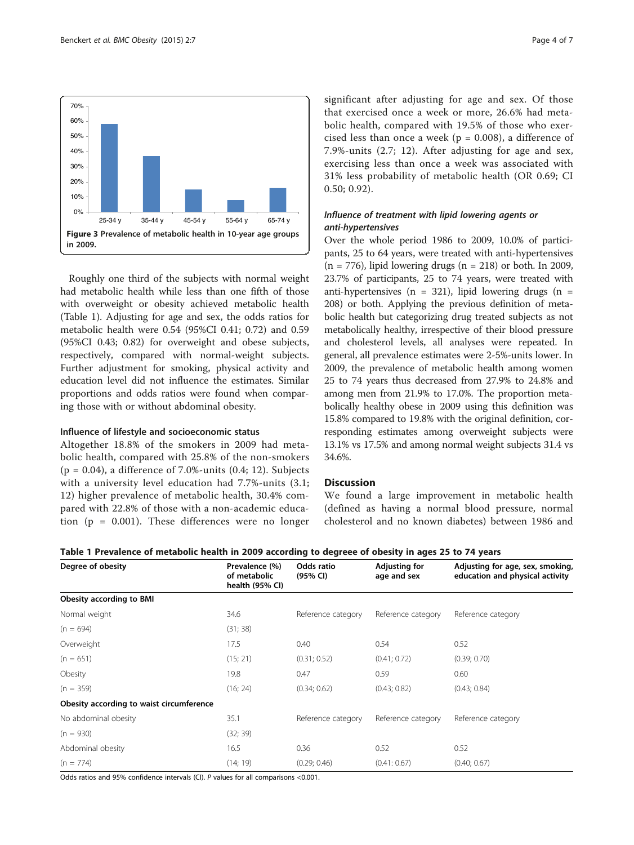<span id="page-3-0"></span>

Roughly one third of the subjects with normal weight had metabolic health while less than one fifth of those with overweight or obesity achieved metabolic health (Table 1). Adjusting for age and sex, the odds ratios for metabolic health were 0.54 (95%CI 0.41; 0.72) and 0.59 (95%CI 0.43; 0.82) for overweight and obese subjects, respectively, compared with normal-weight subjects. Further adjustment for smoking, physical activity and education level did not influence the estimates. Similar proportions and odds ratios were found when comparing those with or without abdominal obesity.

# Influence of lifestyle and socioeconomic status

Altogether 18.8% of the smokers in 2009 had metabolic health, compared with 25.8% of the non-smokers  $(p = 0.04)$ , a difference of 7.0%-units  $(0.4; 12)$ . Subjects with a university level education had 7.7%-units (3.1; 12) higher prevalence of metabolic health, 30.4% compared with 22.8% of those with a non-academic education (p = 0.001). These differences were no longer

significant after adjusting for age and sex. Of those that exercised once a week or more, 26.6% had metabolic health, compared with 19.5% of those who exercised less than once a week ( $p = 0.008$ ), a difference of 7.9%-units (2.7; 12). After adjusting for age and sex, exercising less than once a week was associated with 31% less probability of metabolic health (OR 0.69; CI 0.50; 0.92).

# Influence of treatment with lipid lowering agents or anti-hypertensives

Over the whole period 1986 to 2009, 10.0% of participants, 25 to 64 years, were treated with anti-hypertensives  $(n = 776)$ , lipid lowering drugs  $(n = 218)$  or both. In 2009, 23.7% of participants, 25 to 74 years, were treated with anti-hypertensives ( $n = 321$ ), lipid lowering drugs ( $n =$ 208) or both. Applying the previous definition of metabolic health but categorizing drug treated subjects as not metabolically healthy, irrespective of their blood pressure and cholesterol levels, all analyses were repeated. In general, all prevalence estimates were 2-5%-units lower. In 2009, the prevalence of metabolic health among women 25 to 74 years thus decreased from 27.9% to 24.8% and among men from 21.9% to 17.0%. The proportion metabolically healthy obese in 2009 using this definition was 15.8% compared to 19.8% with the original definition, corresponding estimates among overweight subjects were 13.1% vs 17.5% and among normal weight subjects 31.4 vs 34.6%.

### Discussion

We found a large improvement in metabolic health (defined as having a normal blood pressure, normal cholesterol and no known diabetes) between 1986 and

| Table 1 Prevalence of metabolic health in 2009 according to degreee of obesity in ages 25 to 74 years |  |  |  |
|-------------------------------------------------------------------------------------------------------|--|--|--|
|-------------------------------------------------------------------------------------------------------|--|--|--|

| Degree of obesity                        | Prevalence (%)<br>of metabolic<br>health (95% CI) | Odds ratio<br>(95% CI) | <b>Adjusting for</b><br>age and sex | Adjusting for age, sex, smoking,<br>education and physical activity |
|------------------------------------------|---------------------------------------------------|------------------------|-------------------------------------|---------------------------------------------------------------------|
| Obesity according to BMI                 |                                                   |                        |                                     |                                                                     |
| Normal weight                            | 34.6                                              | Reference category     | Reference category                  | Reference category                                                  |
| $(n = 694)$                              | (31; 38)                                          |                        |                                     |                                                                     |
| Overweight                               | 17.5                                              | 0.40                   | 0.54                                | 0.52                                                                |
| $(n = 651)$                              | (15; 21)                                          | (0.31; 0.52)           | (0.41; 0.72)                        | (0.39; 0.70)                                                        |
| Obesity                                  | 19.8                                              | 0.47                   | 0.59                                | 0.60                                                                |
| $(n = 359)$                              | (16; 24)                                          | (0.34; 0.62)           | (0.43; 0.82)                        | (0.43; 0.84)                                                        |
| Obesity according to waist circumference |                                                   |                        |                                     |                                                                     |
| No abdominal obesity                     | 35.1                                              | Reference category     | Reference category                  | Reference category                                                  |
| $(n = 930)$                              | (32; 39)                                          |                        |                                     |                                                                     |
| Abdominal obesity                        | 16.5                                              | 0.36                   | 0.52                                | 0.52                                                                |
| $(n = 774)$                              | (14; 19)                                          | (0.29; 0.46)           | (0.41:0.67)                         | (0.40; 0.67)                                                        |

Odds ratios and 95% confidence intervals (CI). P values for all comparisons <0.001.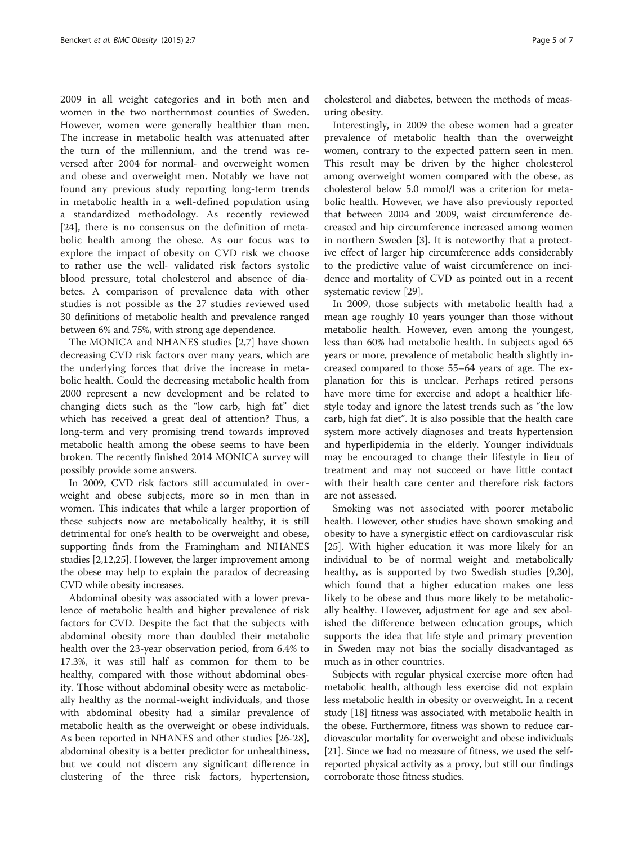2009 in all weight categories and in both men and women in the two northernmost counties of Sweden. However, women were generally healthier than men. The increase in metabolic health was attenuated after the turn of the millennium, and the trend was reversed after 2004 for normal- and overweight women and obese and overweight men. Notably we have not found any previous study reporting long-term trends in metabolic health in a well-defined population using a standardized methodology. As recently reviewed [[24\]](#page-6-0), there is no consensus on the definition of metabolic health among the obese. As our focus was to explore the impact of obesity on CVD risk we choose to rather use the well- validated risk factors systolic blood pressure, total cholesterol and absence of diabetes. A comparison of prevalence data with other studies is not possible as the 27 studies reviewed used 30 definitions of metabolic health and prevalence ranged between 6% and 75%, with strong age dependence.

The MONICA and NHANES studies [\[2,7](#page-6-0)] have shown decreasing CVD risk factors over many years, which are the underlying forces that drive the increase in metabolic health. Could the decreasing metabolic health from 2000 represent a new development and be related to changing diets such as the "low carb, high fat" diet which has received a great deal of attention? Thus, a long-term and very promising trend towards improved metabolic health among the obese seems to have been broken. The recently finished 2014 MONICA survey will possibly provide some answers.

In 2009, CVD risk factors still accumulated in overweight and obese subjects, more so in men than in women. This indicates that while a larger proportion of these subjects now are metabolically healthy, it is still detrimental for one's health to be overweight and obese, supporting finds from the Framingham and NHANES studies [\[2,12,25](#page-6-0)]. However, the larger improvement among the obese may help to explain the paradox of decreasing CVD while obesity increases.

Abdominal obesity was associated with a lower prevalence of metabolic health and higher prevalence of risk factors for CVD. Despite the fact that the subjects with abdominal obesity more than doubled their metabolic health over the 23-year observation period, from 6.4% to 17.3%, it was still half as common for them to be healthy, compared with those without abdominal obesity. Those without abdominal obesity were as metabolically healthy as the normal-weight individuals, and those with abdominal obesity had a similar prevalence of metabolic health as the overweight or obese individuals. As been reported in NHANES and other studies [\[26-28](#page-6-0)], abdominal obesity is a better predictor for unhealthiness, but we could not discern any significant difference in clustering of the three risk factors, hypertension, cholesterol and diabetes, between the methods of measuring obesity.

Interestingly, in 2009 the obese women had a greater prevalence of metabolic health than the overweight women, contrary to the expected pattern seen in men. This result may be driven by the higher cholesterol among overweight women compared with the obese, as cholesterol below 5.0 mmol/l was a criterion for metabolic health. However, we have also previously reported that between 2004 and 2009, waist circumference decreased and hip circumference increased among women in northern Sweden [\[3](#page-6-0)]. It is noteworthy that a protective effect of larger hip circumference adds considerably to the predictive value of waist circumference on incidence and mortality of CVD as pointed out in a recent systematic review [[29](#page-6-0)].

In 2009, those subjects with metabolic health had a mean age roughly 10 years younger than those without metabolic health. However, even among the youngest, less than 60% had metabolic health. In subjects aged 65 years or more, prevalence of metabolic health slightly increased compared to those 55–64 years of age. The explanation for this is unclear. Perhaps retired persons have more time for exercise and adopt a healthier lifestyle today and ignore the latest trends such as "the low carb, high fat diet". It is also possible that the health care system more actively diagnoses and treats hypertension and hyperlipidemia in the elderly. Younger individuals may be encouraged to change their lifestyle in lieu of treatment and may not succeed or have little contact with their health care center and therefore risk factors are not assessed.

Smoking was not associated with poorer metabolic health. However, other studies have shown smoking and obesity to have a synergistic effect on cardiovascular risk [[25\]](#page-6-0). With higher education it was more likely for an individual to be of normal weight and metabolically healthy, as is supported by two Swedish studies [\[9,30](#page-6-0)], which found that a higher education makes one less likely to be obese and thus more likely to be metabolically healthy. However, adjustment for age and sex abolished the difference between education groups, which supports the idea that life style and primary prevention in Sweden may not bias the socially disadvantaged as much as in other countries.

Subjects with regular physical exercise more often had metabolic health, although less exercise did not explain less metabolic health in obesity or overweight. In a recent study [[18](#page-6-0)] fitness was associated with metabolic health in the obese. Furthermore, fitness was shown to reduce cardiovascular mortality for overweight and obese individuals [[21](#page-6-0)]. Since we had no measure of fitness, we used the selfreported physical activity as a proxy, but still our findings corroborate those fitness studies.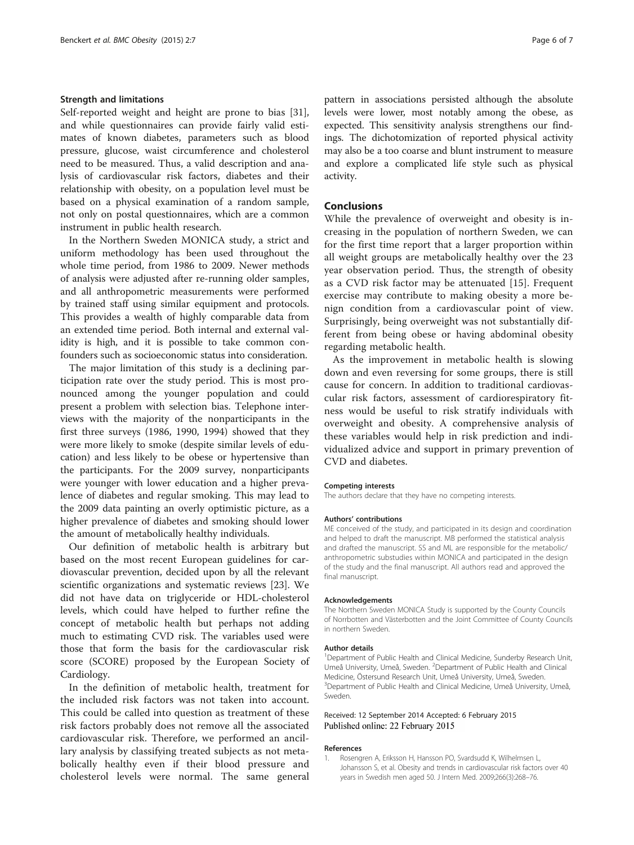#### <span id="page-5-0"></span>Strength and limitations

Self-reported weight and height are prone to bias [\[31](#page-6-0)], and while questionnaires can provide fairly valid estimates of known diabetes, parameters such as blood pressure, glucose, waist circumference and cholesterol need to be measured. Thus, a valid description and analysis of cardiovascular risk factors, diabetes and their relationship with obesity, on a population level must be based on a physical examination of a random sample, not only on postal questionnaires, which are a common instrument in public health research.

In the Northern Sweden MONICA study, a strict and uniform methodology has been used throughout the whole time period, from 1986 to 2009. Newer methods of analysis were adjusted after re-running older samples, and all anthropometric measurements were performed by trained staff using similar equipment and protocols. This provides a wealth of highly comparable data from an extended time period. Both internal and external validity is high, and it is possible to take common confounders such as socioeconomic status into consideration.

The major limitation of this study is a declining participation rate over the study period. This is most pronounced among the younger population and could present a problem with selection bias. Telephone interviews with the majority of the nonparticipants in the first three surveys (1986, 1990, 1994) showed that they were more likely to smoke (despite similar levels of education) and less likely to be obese or hypertensive than the participants. For the 2009 survey, nonparticipants were younger with lower education and a higher prevalence of diabetes and regular smoking. This may lead to the 2009 data painting an overly optimistic picture, as a higher prevalence of diabetes and smoking should lower the amount of metabolically healthy individuals.

Our definition of metabolic health is arbitrary but based on the most recent European guidelines for cardiovascular prevention, decided upon by all the relevant scientific organizations and systematic reviews [\[23](#page-6-0)]. We did not have data on triglyceride or HDL-cholesterol levels, which could have helped to further refine the concept of metabolic health but perhaps not adding much to estimating CVD risk. The variables used were those that form the basis for the cardiovascular risk score (SCORE) proposed by the European Society of Cardiology.

In the definition of metabolic health, treatment for the included risk factors was not taken into account. This could be called into question as treatment of these risk factors probably does not remove all the associated cardiovascular risk. Therefore, we performed an ancillary analysis by classifying treated subjects as not metabolically healthy even if their blood pressure and cholesterol levels were normal. The same general

pattern in associations persisted although the absolute levels were lower, most notably among the obese, as expected. This sensitivity analysis strengthens our findings. The dichotomization of reported physical activity may also be a too coarse and blunt instrument to measure and explore a complicated life style such as physical activity.

#### Conclusions

While the prevalence of overweight and obesity is increasing in the population of northern Sweden, we can for the first time report that a larger proportion within all weight groups are metabolically healthy over the 23 year observation period. Thus, the strength of obesity as a CVD risk factor may be attenuated [[15](#page-6-0)]. Frequent exercise may contribute to making obesity a more benign condition from a cardiovascular point of view. Surprisingly, being overweight was not substantially different from being obese or having abdominal obesity regarding metabolic health.

As the improvement in metabolic health is slowing down and even reversing for some groups, there is still cause for concern. In addition to traditional cardiovascular risk factors, assessment of cardiorespiratory fitness would be useful to risk stratify individuals with overweight and obesity. A comprehensive analysis of these variables would help in risk prediction and individualized advice and support in primary prevention of CVD and diabetes.

#### Competing interests

The authors declare that they have no competing interests.

#### Authors' contributions

ME conceived of the study, and participated in its design and coordination and helped to draft the manuscript. MB performed the statistical analysis and drafted the manuscript. SS and ML are responsible for the metabolic/ anthropometric substudies within MONICA and participated in the design of the study and the final manuscript. All authors read and approved the final manuscript.

#### Acknowledgements

The Northern Sweden MONICA Study is supported by the County Councils of Norrbotten and Västerbotten and the Joint Committee of County Councils in northern Sweden.

#### Author details

<sup>1</sup>Department of Public Health and Clinical Medicine, Sunderby Research Unit, Umeå University, Umeå, Sweden. <sup>2</sup>Department of Public Health and Clinical Medicine, Östersund Research Unit, Umeå University, Umeå, Sweden. <sup>3</sup>Department of Public Health and Clinical Medicine, Umeå University, Umeå Sweden.

#### Received: 12 September 2014 Accepted: 6 February 2015 Published online: 22 February 2015

#### References

1. Rosengren A, Eriksson H, Hansson PO, Svardsudd K, Wilhelmsen L, Johansson S, et al. Obesity and trends in cardiovascular risk factors over 40 years in Swedish men aged 50. J Intern Med. 2009;266(3):268–76.